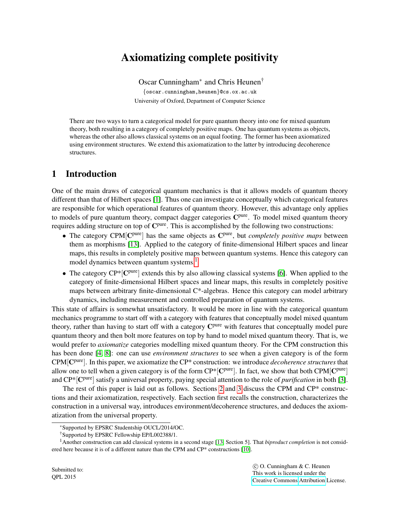# Axiomatizing complete positivity

Oscar Cunningham<sup>∗</sup> and Chris Heunen† {oscar.cunningham,heunen}@cs.ox.ac.uk University of Oxford, Department of Computer Science

There are two ways to turn a categorical model for pure quantum theory into one for mixed quantum theory, both resulting in a category of completely positive maps. One has quantum systems as objects, whereas the other also allows classical systems on an equal footing. The former has been axiomatized using environment structures. We extend this axiomatization to the latter by introducing decoherence structures.

## 1 Introduction

One of the main draws of categorical quantum mechanics is that it allows models of quantum theory different than that of Hilbert spaces [\[1\]](#page-9-0). Thus one can investigate conceptually which categorical features are responsible for which operational features of quantum theory. However, this advantage only applies to models of pure quantum theory, compact dagger categories C<sup>pure</sup>. To model mixed quantum theory requires adding structure on top of C<sup>pure</sup>. This is accomplished by the following two constructions:

- The category CPM<sup>[Cpure</sup>] has the same objects as C<sup>pure</sup>, but *completely positive maps* between them as morphisms [\[13\]](#page-9-1). Applied to the category of finite-dimensional Hilbert spaces and linear maps, this results in completely positive maps between quantum systems. Hence this category can model dynamics between quantum systems.<sup>[1](#page-0-0)</sup>
- The category  $\mathbb{CP}^*[\mathbb{C}^{pure}]$  extends this by also allowing classical systems [\[6\]](#page-9-2). When applied to the category of finite-dimensional Hilbert spaces and linear maps, this results in completely positive maps between arbitrary finite-dimensional  $C^*$ -algebras. Hence this category can model arbitrary dynamics, including measurement and controlled preparation of quantum systems.

This state of affairs is somewhat unsatisfactory. It would be more in line with the categorical quantum mechanics programme to start off with a category with features that conceptually model mixed quantum theory, rather than having to start off with a category C<sup>pure</sup> with features that conceptually model pure quantum theory and then bolt more features on top by hand to model mixed quantum theory. That is, we would prefer to *axiomatize* categories modelling mixed quantum theory. For the CPM construction this has been done [\[4,](#page-9-3) [8\]](#page-9-4): one can use *environment structures* to see when a given category is of the form CPM[C pure]. In this paper, we axiomatize the CP\* construction: we introduce *decoherence structures* that allow one to tell when a given category is of the form  $CP^*[C^{pure}]$ . In fact, we show that both  $CPM[C^{pure}]$ and CP\*[C pure] satisfy a universal property, paying special attention to the role of *purification* in both [\[3\]](#page-9-5).

The rest of this paper is laid out as follows. Sections [2](#page-1-0) and [3](#page-4-0) discuss the CPM and CP\* constructions and their axiomatization, respectively. Each section first recalls the construction, characterizes the construction in a universal way, introduces environment/decoherence structures, and deduces the axiomatization from the universal property.

 c O. Cunningham & C. Heunen This work is licensed under the [Creative Commons](http://creativecommons.org) [Attribution](http://creativecommons.org/licenses/by/3.0/) License.

<sup>∗</sup>Supported by EPSRC Studentship OUCL/2014/OC.

<span id="page-0-0"></span><sup>†</sup>Supported by EPSRC Fellowship EP/L002388/1.

<sup>1</sup>Another construction can add classical systems in a second stage [\[13,](#page-9-1) Section 5]. That *biproduct completion* is not considered here because it is of a different nature than the CPM and CP\* constructions [\[10\]](#page-9-6).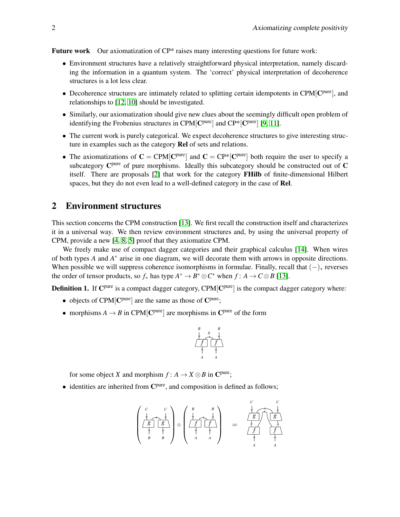Future work Our axiomatization of CP\* raises many interesting questions for future work:

- Environment structures have a relatively straightforward physical interpretation, namely discarding the information in a quantum system. The 'correct' physical interpretation of decoherence structures is a lot less clear.
- Decoherence structures are intimately related to splitting certain idempotents in CPM $[{\rm C}^{\rm pure}]$ , and relationships to [\[12,](#page-9-7) [10\]](#page-9-6) should be investigated.
- Similarly, our axiomatization should give new clues about the seemingly difficult open problem of identifying the Frobenius structures in CPM $[{\rm C^{pure}}]$  and  ${\rm CP}^*[{\rm C^{pure}}]$  [\[9,](#page-9-8) [11\]](#page-9-9).
- The current work is purely categorical. We expect decoherence structures to give interesting structure in examples such as the category Rel of sets and relations.
- The axiomatizations of  $C = \text{CPM}[\mathbf{C}^{\text{pure}}]$  and  $C = \text{CP}^*[\mathbf{C}^{\text{pure}}]$  both require the user to specify a subcategory  $\mathbb{C}^{pure}$  of pure morphisms. Ideally this subcategory should be constructed out of  $\mathbb{C}$ itself. There are proposals [\[2\]](#page-9-10) that work for the category FHilb of finite-dimensional Hilbert spaces, but they do not even lead to a well-defined category in the case of Rel.

### <span id="page-1-0"></span>2 Environment structures

This section concerns the CPM construction [\[13\]](#page-9-1). We first recall the construction itself and characterizes it in a universal way. We then review environment structures and, by using the universal property of CPM, provide a new [\[4,](#page-9-3) [8,](#page-9-4) [5\]](#page-9-11) proof that they axiomatize CPM.

We freely make use of compact dagger categories and their graphical calculus [\[14\]](#page-9-12). When wires of both types *A* and *A*<sup>\*</sup> arise in one diagram, we will decorate them with arrows in opposite directions. When possible we will suppress coherence isomorphisms in formulae. Finally, recall that  $(-)_*$  reverses the order of tensor products, so  $f_*$  has type  $A^* \to B^* \otimes C^*$  when  $f : A \to C \otimes B$  [\[13\]](#page-9-1).

Definition 1. If C<sup>pure</sup> is a compact dagger category, CPM<sup>[Cpure</sup>] is the compact dagger category where:

- objects of  $CPM[$ C<sup>pure</sup>] are the same as those of C<sup>pure</sup>;
- morphisms  $A \to B$  in CPM  $[{\bf C}^{\text{pure}}]$  are morphisms in  ${\bf C}^{\text{pure}}$  of the form



for some object *X* and morphism  $f : A \to X \otimes B$  in C<sup>pure</sup>;

• identities are inherited from C<sup>pure</sup>, and composition is defined as follows;

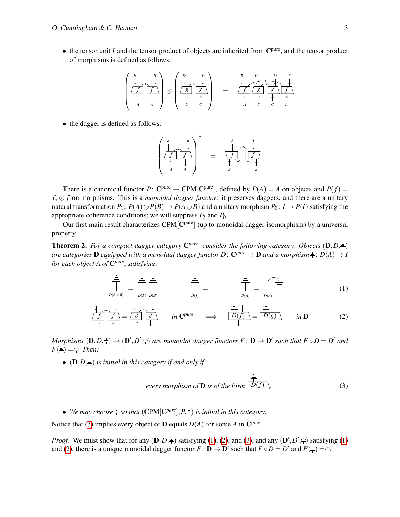• the tensor unit *I* and the tensor product of objects are inherited from C<sup>pure</sup>, and the tensor product of morphisms is defined as follows;

$$
\left(\begin{array}{cc} B & B \\ \hline \end{array}\right) \otimes \left(\begin{array}{cc} D & D \\ \hline \end{array}\right) = \begin{array}{c} B & D & D & B \\ \hline \end{array}\right) \qquad \qquad \left(\begin{array}{cc} B & D & D & B \\ \hline \end{array}\right)
$$

• the dagger is defined as follows.

$$
\left(\begin{array}{ccc} B & B \\ \downarrow & \downarrow \\ \hline f & f \\ \downarrow & \downarrow \\ A & A \end{array}\right)^{\dagger} = \left(\begin{array}{ccc} A & A \\ \downarrow & \downarrow \\ \downarrow & \downarrow \\ B & B \end{array}\right)
$$

There is a canonical functor  $P: C^{pure} \to CPM[C^{pure}]$ , defined by  $P(A) = A$  on objects and  $P(f) =$ *f*<sup>∗</sup> ⊗ *f* on morphisms. This is a *monoidal dagger functor*: it preserves daggers, and there are a unitary natural transformation  $P_2$ :  $P(A) \otimes P(B) \rightarrow P(A \otimes B)$  and a unitary morphism  $P_0$ :  $I \rightarrow P(I)$  satisfying the appropriate coherence conditions; we will suppress  $P_2$  and  $P_0$ .

Our first main result characterizes  $CPM[$ C<sup>pure</sup>] (up to monoidal dagger isomorphism) by a universal property.

<span id="page-2-3"></span>**Theorem 2.** For a compact dagger category  $\mathbb{C}^{pure}$ , consider the following category. Objects  $(\mathbf{D}, D, \frac{1}{\mathbf{D}})$  $a$ re categories  $D$  equipped with a monoidal dagger functor  $D\colon \mathbf{C}^{pure}\to \mathbf{D}$  and a morphism $\frac{1}{\tau} \colon D(A)\to D$ *for each object A of* C *pure, satisfying:*

$$
\frac{\doteq}{\prod_{D(A\otimes B)}\n= \prod_{D(A)\ D(B)}\n= \prod_{D(A)\ D(B)}\n= \prod_{D(I)}\n= \prod_{D(A)}\n= \prod_{D(A)}\n= (1)
$$

$$
\frac{\frac{1}{\sqrt{f}}}{\frac{1}{f}} = \frac{\frac{1}{g}}{\frac{1}{f}} = \frac{\frac{1}{g}}{\frac{1}{f}} \qquad \text{in } \mathbb{C}^{pure} \quad \Longleftrightarrow \quad \frac{\frac{1}{g}}{D(f)} = \frac{\frac{1}{g}}{D(g)} \qquad \text{in } \mathbb{D} \tag{2}
$$

*Morphisms*  $(D, D, \rightrightarrows) \to (D', D', \rightrightarrows)$  are monoidal dagger functors  $F : D \to D'$  such that  $F \circ D = D'$  and  $F(\triangleq) = \bigcirc$ *. Then:* 

•  $(D, D, \doteqdot)$  *is initial in this category if and only if* 

<span id="page-2-2"></span><span id="page-2-1"></span><span id="page-2-0"></span>every morphism of **D** is of the form 
$$
\boxed{D(f)}
$$
. (3)

• We may choose  $\neq$  so that  $(CPM[C^{pure}], P, \neq)$  *is initial in this category.* 

Notice that [\(3\)](#page-2-0) implies every object of **D** equals  $D(A)$  for some *A* in  $\mathbb{C}^{\text{pure}}$ .

*Proof.* We must show that for any  $(D, D, \dot{+})$  satisfying [\(1\)](#page-2-1), [\(2\)](#page-2-2), and [\(3\)](#page-2-0), and any  $(D', D', \cap)$  satisfying (1) and [\(2\)](#page-2-2), there is a unique monoidal dagger functor  $F : \mathbf{D} \to \mathbf{D}'$  such that  $F \circ D = D'$  and  $F(\frac{1}{T}) = \bigcap$ .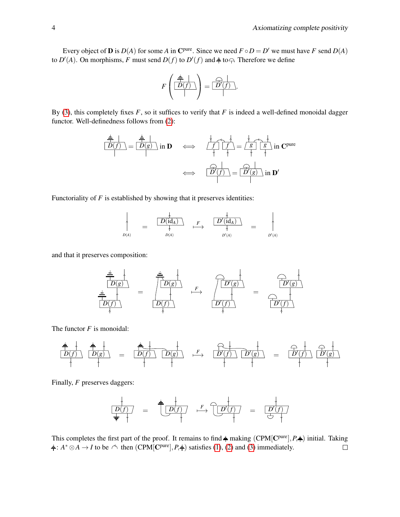Every object of **D** is  $D(A)$  for some *A* in C<sup>pure</sup>. Since we need  $F \circ D = D'$  we must have *F* send  $D(A)$ to  $D'(A)$ . On morphisms, F must send  $D(f)$  to  $D'(f)$  and  $\neq$  to  $\bigcirc$ . Therefore we define

$$
F\left(\frac{\frac{2}{\sqrt{2}}\mid}{\mid}\right)=\frac{F\left(\frac{2}{\sqrt{2}}\right)}{\mid}.
$$

By [\(3\)](#page-2-0), this completely fixes  $F$ , so it suffices to verify that  $F$  is indeed a well-defined monoidal dagger functor. Well-definedness follows from [\(2\)](#page-2-2):

$$
\frac{\frac{2}{\Box P(f)}}{\boxed{D(f)}} = \frac{\frac{2}{\Box P(g)}}{\boxed{D(g)}} \text{ in } \mathbf{D} \iff \frac{\frac{1}{\Box f} \frac{1}{\boxed{f}}}{\boxed{f}} = \frac{\frac{1}{\Box g} \frac{1}{\boxed{g}}}{\boxed{g}} \text{ in } \mathbf{C}^{\text{pure}}
$$
\n
$$
\iff \frac{\frac{1}{\Box f}}{\boxed{D'(f)}} = \frac{\frac{1}{\Box f}}{\boxed{D'(g)}} \text{ in } \mathbf{D'}
$$

Functoriality of *F* is established by showing that it preserves identities:

$$
\uparrow \qquad \qquad \frac{\downarrow}{D(A)} \qquad = \qquad \frac{\frac{\downarrow}{D(id_A)} \qquad F}{\uparrow} \qquad \frac{\frac{\downarrow}{D'(id_A)} \qquad}{\uparrow} \qquad = \qquad \qquad \downarrow
$$
\n
$$
D(A) \qquad \qquad D'(A) \qquad \qquad D'(A)
$$

and that it preserves composition:

$$
\begin{array}{c|c}\n\begin{array}{c}\n\frac{\doteq}{\Box} \\
\hline\nD(g) \\
\hline\n\end{array}\n\end{array} = \begin{array}{c}\n\begin{array}{c}\n\frac{\doteq}{\Box} \\
\hline\n\end{array}\n\end{array} \begin{array}{c}\n\begin{array}{c}\n\Box \\
\hline\n\end{array}\n\end{array} \begin{array}{c}\n\begin{array}{c}\n\Box \\
\hline\n\end{array}\n\end{array} \begin{array}{c}\n\begin{array}{c}\n\Box \\
\hline\n\end{array}\n\end{array} \begin{array}{c}\n\begin{array}{c}\n\Box \\
\hline\n\end{array}\n\end{array} \begin{array}{c}\n\begin{array}{c}\n\Box \\
\hline\n\end{array}\n\end{array} \begin{array}{c}\n\begin{array}{c}\n\Box \\
\hline\n\end{array}\n\end{array} \begin{array}{c}\n\begin{array}{c}\n\Box \\
\hline\n\end{array}\n\end{array} \begin{array}{c}\n\begin{array}{c}\n\Box \\
\hline\n\end{array}\n\end{array} \begin{array}{c}\n\begin{array}{c}\n\Box \\
\hline\n\end{array}\n\end{array} \begin{array}{c}\n\begin{array}{c}\n\Box \\
\hline\n\end{array}\n\end{array} \begin{array}{c}\n\end{array} \begin{array}{c}\n\Box \\
\hline\n\end{array} \begin{array}{c}\n\end{array} \begin{array}{c}\n\Box \\
\hline\n\end{array} \begin{array}{c}\n\end{array} \begin{array}{c}\n\Box \\
\hline\n\end{array} \begin{array}{c}\n\end{array} \begin{array}{c}\n\Box \\
\hline\n\end{array} \begin{array}{c}\n\end{array} \begin{array}{c}\n\Box \\
\hline\n\end{array} \begin{array}{c}\n\end{array} \begin{array}{c}\n\Box \\
\hline\n\end{array} \begin{array}{c}\n\end{array} \begin{array}{c}\n\end{array} \begin{array}{c}\n\Box \\
\hline\n\end{array} \begin{array}{c}\n\end{array} \begin{array}{c}\n\end{array} \begin{array}{c}\n\Box \\
\hline\n\end{array} \begin{array}{c}\n\end{array} \begin{array}{c}\n\end{array} \begin{array}{c}\n\
$$

The functor *F* is monoidal:

*D*(*f*) *D*(*g*) = *D*(*f*) *D*(*g*) *F* 7−→ *D* 0 (*f*) *D* 0 (*g*) = *D* 0 (*f*) *D* 0 (*g*)

Finally, *F* preserves daggers:

*D*(*f*) = *D*(*f*) *F* 7−→ *D* 0 (*f*) = *D* 0 (*f*)

This completes the first part of the proof. It remains to find  $\frac{1}{\tau}$  making (CPM[C<sup>pure</sup>],  $P, \frac{1}{\tau}$ ) initial. Taking :  $A^* \otimes A \rightarrow I$  to be  $\triangle$  then (CPM[C<sup>pure</sup>],  $P, \neq$ ) satisfies [\(1\)](#page-2-1), [\(2\)](#page-2-2) and [\(3\)](#page-2-0) immediately.  $\Box$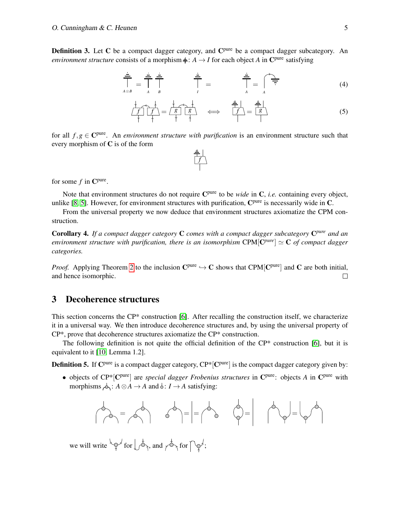Definition 3. Let C be a compact dagger category, and C<sup>pure</sup> be a compact dagger subcategory. An *environment structure* consists of a morphism  $\frac{1}{r}$ : *A*  $\rightarrow$  *I* for each object *A* in C<sup>pure</sup> satisfying

$$
\frac{\frac{1}{\frac{1}{n}}}{\frac{1}{A\otimes B}} = \frac{\frac{1}{\frac{1}{n}}}{\frac{1}{A}} \frac{\frac{1}{\frac{1}{n}}}{\frac{1}{I}} = \frac{\frac{1}{\frac{1}{n}}}{\frac{1}{A}} = \int_{A} \frac{\frac{1}{\frac{1}{n}}}{\frac{1}{A}} = \int_{A} \frac{\frac{1}{\frac{1}{n}}}{\frac{1}{I}} = \int_{A} \frac{\frac{1}{\frac{1}{n}}}{\frac{1}{I}} = \int_{A} \frac{\frac{1}{\frac{1}{n}}}{\frac{1}{I}} = \int_{A} \frac{\frac{1}{\frac{1}{n}}}{\frac{1}{I}} = \int_{A} \frac{\frac{1}{\frac{1}{n}}}{\frac{1}{I}} = \int_{A} \frac{\frac{1}{\frac{1}{n}}}{\frac{1}{I}} = \int_{A} \frac{\frac{1}{\frac{1}{n}}}{\frac{1}{I}} = \int_{A} \frac{\frac{1}{\frac{1}{n}}}{\frac{1}{I}} = \int_{A} \frac{\frac{1}{\frac{1}{n}}}{\frac{1}{I}} = \int_{A} \frac{\frac{1}{\frac{1}{n}}}{\frac{1}{I}} = \int_{A} \frac{\frac{1}{\frac{1}{n}}}{\frac{1}{I}} = \int_{A} \frac{\frac{1}{\frac{1}{n}}}{\frac{1}{I}} = \int_{A} \frac{\frac{1}{\frac{1}{n}}}{\frac{1}{I}} = \int_{A} \frac{\frac{1}{\frac{1}{n}}}{\frac{1}{I}} = \int_{A} \frac{\frac{1}{\frac{1}{n}}}{\frac{1}{I}} = \int_{A} \frac{\frac{1}{\frac{1}{n}}}{\frac{1}{I}} = \int_{A} \frac{\frac{1}{\frac{1}{n}}}{\frac{1}{I}} = \int_{A} \frac{\frac{1}{\frac{1}{n}}}{\frac{1}{I}} = \int_{A} \frac{\frac{1}{\frac{1}{n}}}{\frac{1}{I}} = \int_{A} \frac{\frac{1}{\frac{1}{n}}}{\frac{1}{I}} = \int_{A} \frac{\frac{1}{\frac{1}{n}}}{\frac{1}{I}} = \int_{A} \frac{\frac{1}{n}}{1}
$$
 (4)

$$
\frac{\frac{1}{f}\left(\frac{1}{f}\right)}{\frac{1}{f}\left(\frac{1}{f}\right)} = \frac{\frac{1}{g}\left(\frac{1}{g}\right)}{\frac{1}{f}\left(\frac{1}{g}\right)} \iff \frac{\frac{1}{f}\left(\frac{1}{f}\right)}{\frac{1}{f}\left(\frac{1}{g}\right)} = \frac{\frac{1}{f}\left(\frac{1}{g}\right)}{\frac{1}{f}\left(\frac{1}{g}\right)}\tag{5}
$$

for all  $f, g \in \mathbb{C}^{pure}$ . An *environment structure with purification* is an environment structure such that every morphism of  $C$  is of the form

for some  $f$  in  $\mathbb{C}^{\text{pure}}$ .

Note that environment structures do not require C<sup>pure</sup> to be *wide* in C, *i.e.* containing every object, unlike [\[8,](#page-9-4) [5\]](#page-9-11). However, for environment structures with purification,  $C<sup>pure</sup>$  is necessarily wide in C.

From the universal property we now deduce that environment structures axiomatize the CPM construction.

Corollary 4. *If a compact dagger category* C *comes with a compact dagger subcategory* C *pure and an environment structure with purification, there is an isomorphism*  $\text{CPM}[\mathbf{C}^{pure}] \simeq \mathbf{C}$  *of compact dagger categories.*

*Proof.* Applying Theorem [2](#page-2-3) to the inclusion  $C^{pure} \hookrightarrow C$  shows that CPM[ $C^{pure}$ ] and C are both initial, and hence isomorphic.  $\Box$ 

#### <span id="page-4-0"></span>3 Decoherence structures

This section concerns the CP\* construction [\[6\]](#page-9-2). After recalling the construction itself, we characterize it in a universal way. We then introduce decoherence structures and, by using the universal property of CP\*, prove that decoherence structures axiomatize the CP\* construction.

The following definition is not quite the official definition of the  $\mathbb{CP}^*$  construction [\[6\]](#page-9-2), but it is equivalent to it [\[10,](#page-9-6) Lemma 1.2].

**Definition 5.** If  $\mathbf{C}^{\text{pure}}$  is a compact dagger category,  $\mathbf{C}^{\text{p}}$  ( $\mathbf{C}^{\text{pure}}$ ) is the compact dagger category given by:

• objects of CP<sup>\*</sup>[C<sup>pure</sup>] are *special dagger Frobenius structures* in C<sup>pure</sup>: objects *A* in C<sup>pure</sup> with morphisms  $\mathcal{A}: A \otimes A \rightarrow A$  and  $\mathcal{A}: I \rightarrow A$  satisfying:

$$
\begin{pmatrix} 0 \\ 0 \\ 0 \end{pmatrix} = \begin{pmatrix} 0 \\ 0 \\ 0 \end{pmatrix} \qquad \begin{pmatrix} 0 \\ 0 \\ 0 \end{pmatrix} = \begin{pmatrix} 0 \\ 0 \\ 0 \end{pmatrix} = \begin{pmatrix} 0 \\ 0 \\ 0 \end{pmatrix} = \begin{pmatrix} 0 \\ 0 \\ 0 \end{pmatrix} = \begin{pmatrix} 0 \\ 0 \\ 0 \end{pmatrix} = \begin{pmatrix} 0 \\ 0 \\ 0 \end{pmatrix} = \begin{pmatrix} 0 \\ 0 \\ 0 \end{pmatrix} = \begin{pmatrix} 0 \\ 0 \\ 0 \end{pmatrix} = \begin{pmatrix} 0 \\ 0 \\ 0 \end{pmatrix} = \begin{pmatrix} 0 \\ 0 \\ 0 \end{pmatrix} = \begin{pmatrix} 0 \\ 0 \\ 0 \end{pmatrix} = \begin{pmatrix} 0 \\ 0 \\ 0 \end{pmatrix} = \begin{pmatrix} 0 \\ 0 \\ 0 \end{pmatrix} = \begin{pmatrix} 0 \\ 0 \\ 0 \end{pmatrix} = \begin{pmatrix} 0 \\ 0 \\ 0 \end{pmatrix} = \begin{pmatrix} 0 \\ 0 \\ 0 \end{pmatrix} = \begin{pmatrix} 0 \\ 0 \\ 0 \end{pmatrix} = \begin{pmatrix} 0 \\ 0 \\ 0 \end{pmatrix} = \begin{pmatrix} 0 \\ 0 \\ 0 \end{pmatrix} = \begin{pmatrix} 0 \\ 0 \\ 0 \end{pmatrix} = \begin{pmatrix} 0 \\ 0 \\ 0 \end{pmatrix} = \begin{pmatrix} 0 \\ 0 \\ 0 \end{pmatrix} = \begin{pmatrix} 0 \\ 0 \\ 0 \end{pmatrix} = \begin{pmatrix} 0 \\ 0 \\ 0 \end{pmatrix} = \begin{pmatrix} 0 \\ 0 \\ 0 \end{pmatrix} = \begin{pmatrix} 0 \\ 0 \\ 0 \end{pmatrix} = \begin{pmatrix} 0 \\ 0 \\ 0 \end{pmatrix} = \begin{pmatrix} 0 \\ 0 \\ 0 \end{pmatrix} = \begin{pmatrix} 0 \\ 0 \\ 0 \end{pmatrix} = \begin{pmatrix} 0 \\ 0 \\ 0 \end{pmatrix} = \begin{pmatrix} 0 \\ 0 \\ 0 \end{pmatrix} = \begin{pmatrix} 0 \\ 0 \\ 0 \end{pmatrix} = \begin{pmatrix} 0 \\ 0 \\ 0 \end{pmatrix} = \begin{pmatrix} 0 \\ 0 \\ 0 \end{pmatrix} = \begin
$$

we will write  $\overleftrightarrow{\varphi}$  for  $\overleftrightarrow{\varphi}$ , and  $\overleftrightarrow{\varphi}$  for  $\overleftrightarrow{\varphi}$ ;

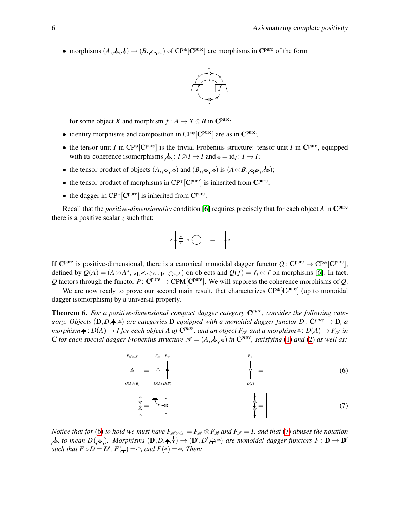• morphisms  $(A, \phi, \phi) \rightarrow (B, \phi, \phi)$  of CP<sup>\*</sup>[C<sup>pure</sup>] are morphisms in C<sup>pure</sup> of the form



for some object *X* and morphism  $f : A \to X \otimes B$  in C<sup>pure</sup>;

- identity morphisms and composition in  $\mathbb{CP}^*[C^{pure}]$  are as in  $C^{pure}$ ;
- the tensor unit *I* in  $\text{CP*}[\text{C}^{\text{pure}}]$  is the trivial Frobenius structure: tensor unit *I* in  $\text{C}^{\text{pure}}$ , equipped with its coherence isomorphisms  $\phi_1: I \otimes I \to I$  and  $\phi = id_I: I \to I$ ;
- the tensor product of objects  $(A, \nightharpoonup, \nightharpoonup)$  and  $(B, \nightharpoonup, \nightharpoonup)$  is  $(A \otimes B, \nightharpoonup \nightharpoonup, \nightharpoonup)$ ;
- the tensor product of morphisms in  $\mathbb{CP}^*[{\bf C}^{\rm pure}]$  is inherited from  ${\bf C}^{\rm pure}$ ;
- the dagger in  $\mathbb{CP}^*[\mathbb{C}^{\text{pure}}]$  is inherited from  $\mathbb{C}^{\text{pure}}$ .

Recall that the *positive-dimensionality* condition [\[6\]](#page-9-2) requires precisely that for each object *A* in C pure there is a positive scalar *z* such that:

$$
A \begin{pmatrix} \boxed{2} & A \\ \boxed{2} & A \end{pmatrix} \quad = \quad A
$$

If  $\mathbb{C}^{\text{pure}}$  is positive-dimensional, there is a canonical monoidal dagger functor  $Q\colon \mathbb{C}^{\text{pure}} \to \mathbb{C}^{\text{p}*\}$   $[\mathbb{C}^{\text{pure}}]$ , defined by  $Q(A) = (A \otimes A^*, \Box \otimes \cdots \otimes \Box \otimes \Box)$  on objects and  $Q(f) = f_* \otimes f$  on morphisms [\[6\]](#page-9-2). In fact, Q factors through the functor  $P: \mathbb{C}^{\text{pure}} \to \text{CPM}[\mathbb{C}^{\text{pure}}]$ . We will suppress the coherence morphisms of Q.

We are now ready to prove our second main result, that characterizes CP\*<sup>[Cpure</sup>] (up to monoidal dagger isomorphism) by a universal property.

<span id="page-5-2"></span>Theorem 6. *For a positive-dimensional compact dagger category* C *pure, consider the following cate*gory. Objects  $(D, D, \doteqq, \Diamond)$  are categories **D** equipped with a monoidal dagger functor  $D: C^{pure} \to D$ , a  $m$ orphism $\frac{1}{\tau}: D(A) \to I$  for each object  $A$  of  $\mathbf{C}^{pure}$ , and an object  $F_\mathscr{A}$  and a morphism  $\frac{\lambda}{\tau}: D(A) \to F_\mathscr{A}$  in C for each special dagger Frobenius structure  $\mathscr{A} = (A, \&set, \circ)$  in C<sup>pure</sup>, satisfying [\(1\)](#page-2-1) and [\(2\)](#page-2-2) as well as:

$$
\sum_{G(A \otimes B)}^{F_{\mathscr{A}} \otimes \mathscr{B}} \qquad \qquad \sum_{D(A) D(B)}^{F_{\mathscr{A}} \otimes F_{\mathscr{B}}} \qquad \qquad \sum_{D(I)}^{F_{\mathscr{A}}} = \qquad \qquad (6)
$$

<span id="page-5-1"></span><span id="page-5-0"></span>
$$
\frac{1}{\frac{1}{\lambda}} = \frac{1}{\lambda} \begin{pmatrix} 1 & 1 \\ 1 & 1 \\ 1 & 1 \end{pmatrix} \tag{7}
$$

*Notice that for* [\(6\)](#page-5-0) *to hold we must have*  $F_{\mathscr{A} \otimes \mathscr{B}} = F_{\mathscr{A}} \otimes F_{\mathscr{B}}$  *and*  $F_{\mathscr{I}} = I$ *, and that* [\(7\)](#page-5-1) *abuses the notation to mean*  $D(\phi)$ . Morphisms  $(D,D,\neq,\stackrel{\perp}{\leftarrow}) \to (D',D',\ominus,\stackrel{\perp}{\leftarrow})$  are monoidal dagger functors  $F: D \to D'$ *such that*  $F \circ D = D'$ ,  $F(\frac{1}{T}) = \bigcap$  *and*  $F(\frac{1}{T}) = \frac{1}{T}$ . *Then:*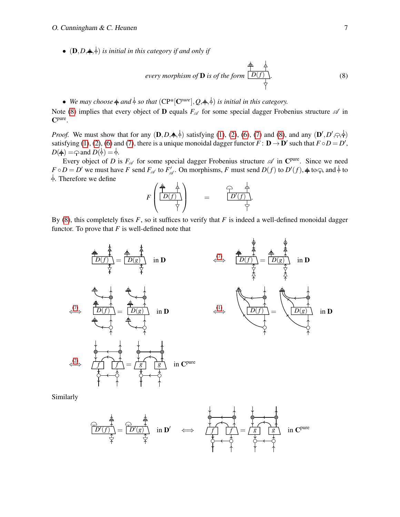•  $(D, D, \doteq, \doteq)$  *is initial in this category if and only if* 

<span id="page-6-0"></span>every morphism of **D** is of the form 
$$
\frac{\frac{1}{T} \stackrel{\perp}{\longrightarrow} }{\stackrel{\perp}{\longrightarrow}}
$$
 (8)

• *We may choose*  $\neq$  *and*  $\stackrel{\perp}{\circ}$  *so that*  $(CP^*[C^{pure}], Q, \stackrel{\perp}{\leftarrow}, \stackrel{\perp}{\circ})$  *is initial in this category.* 

Note [\(8\)](#page-6-0) implies that every object of **D** equals  $F_A$  for some special dagger Frobenius structure  $\mathscr A$  in C pure .

*Proof.* We must show that for any  $(D, D, \frac{1}{2}, \frac{1}{2})$  satisfying [\(1\)](#page-2-1), [\(2\)](#page-2-2), [\(6\)](#page-5-0), [\(7\)](#page-5-1) and [\(8\)](#page-6-0), and any  $(D', D', \frac{1}{2}, \frac{1}{2})$ satisfying [\(1\)](#page-2-1), [\(2\)](#page-2-2), [\(6\)](#page-5-0) and [\(7\)](#page-5-1), there is a unique monoidal dagger functor  $F : D \to D'$  such that  $F \circ D = D'$ ,  $D(\frac{2}{r}) = \bigcap$  and  $D(\frac{1}{r}) = \frac{1}{r}$ .

Every object of *D* is  $F_{\mathscr{A}}$  for some special dagger Frobenius structure  $\mathscr{A}$  in C<sup>pure</sup>. Since we need  $F \circ D = D'$  we must have *F* send  $F_{\mathscr{A}}$  to  $F'_{\mathscr{A}}$  $\mathcal{L}_{\mathscr{A}}'$ . On morphisms, *F* must send *D*(*f*) to *D'*(*f*),  $\neq$  to  $\ominus$ , and  $\stackrel{\perp}{\leftarrow}$  to  $\frac{1}{\Gamma}$ . Therefore we define

$$
F\left(\begin{array}{c}\frac{\frac{1}{T}}{\frac{1}{T}} & \frac{1}{T} \\ \frac{D(f)}{\frac{1}{T}} \end{array}\right) \qquad = \qquad \begin{array}{c}\n\frac{1}{T} & \frac{1}{T} \\ \frac{D'(f)}{\frac{1}{T}}. \end{array}
$$

By [\(8\)](#page-6-0), this completely fixes  $F$ , so it suffices to verify that  $F$  is indeed a well-defined monoidal dagger functor. To prove that *F* is well-defined note that



Similarly

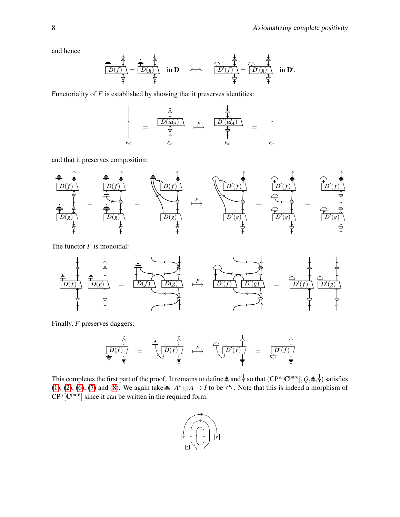and hence

$$
\frac{\frac{1}{\pi} \cdot \frac{1}{\pi}}{\frac{1}{\pi} \cdot \frac{1}{\pi}} = \frac{\frac{1}{\pi} \cdot \frac{1}{\pi}}{\frac{1}{\pi} \cdot \frac{1}{\pi}} \quad \text{in } \mathbf{D} \quad \iff \quad \frac{\frac{1}{\pi} \cdot \frac{1}{\pi}}{\frac{1}{\pi} \cdot \frac{1}{\pi}} = \frac{\frac{1}{\pi} \cdot \frac{1}{\pi}}{\frac{1}{\pi} \cdot \frac{1}{\pi}} \quad \text{in } \mathbf{D}'.
$$

Functoriality of *F* is established by showing that it preserves identities:

$$
F_{\text{ref}} = \begin{array}{c|c}\n\begin{array}{c}\n\frac{1}{\lambda} & \frac{1}{\lambda} \\
\hline\n\frac{1}{\lambda} & F \\
\hline\n\frac{1}{\lambda} & \frac{1}{\lambda} \\
\hline\n\frac{1}{\lambda} & \frac{1}{\lambda} \\
F_{\text{ref}} & \frac{1}{\lambda} \\
F_{\text{ref}} & \frac{1}{\lambda} \\
F_{\text{ref}} & \frac{1}{\lambda}\n\end{array}\n\end{array}
$$

and that it preserves composition:



The functor *F* is monoidal:



Finally, *F* preserves daggers:

*F* 0 0 *D*(*f*) = *D*(*f*) 7−→ *D* (*f*) = *D* (*f*)

This completes the first part of the proof. It remains to define  $\frac{1}{\tau}$  and  $\frac{1}{\tau}$  so that  $(CP^*[C^{pure}], Q, \frac{1}{\tau}, \frac{1}{\tau})$  satisfies [\(1\)](#page-2-1), [\(2\)](#page-2-2), [\(6\)](#page-5-0), [\(7\)](#page-5-1) and [\(8\)](#page-6-0). We again take  $\frac{1}{r}$ :  $A^* \otimes A \to I$  to be  $\curvearrowright$ . Note that this is indeed a morphism of  $CP*[C^{pure}]$  since it can be written in the required form:

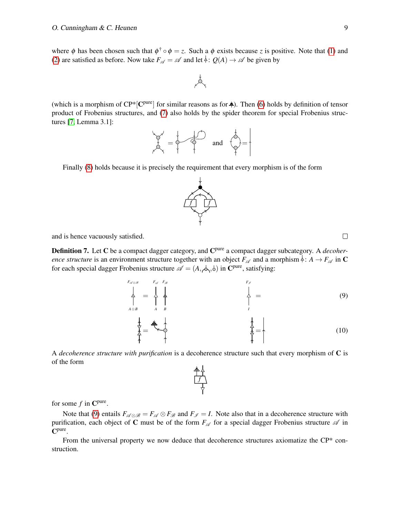where  $\phi$  has been chosen such that  $\phi^{\dagger} \circ \phi = z$ . Such a  $\phi$  exists because *z* is positive. Note that [\(1\)](#page-2-1) and [\(2\)](#page-2-2) are satisfied as before. Now take  $F_A = \mathcal{A}$  and let  $\frac{1}{2}$ :  $Q(A) \rightarrow \mathcal{A}$  be given by



(which is a morphism of  $\text{CP*}[\mathbf{C}^{\text{pure}}]$  for similar reasons as for  $\frac{1}{\tau}$ ). Then [\(6\)](#page-5-0) holds by definition of tensor product of Frobenius structures, and [\(7\)](#page-5-1) also holds by the spider theorem for special Frobenius structures [\[7,](#page-9-13) Lemma 3.1]:



Finally [\(8\)](#page-6-0) holds because it is precisely the requirement that every morphism is of the form

and is hence vacuously satisfied.

Definition 7. Let C be a compact dagger category, and C<sup>pure</sup> a compact dagger subcategory. A *decoherence structure* is an environment structure together with an object  $F_{\mathscr{A}}$  and a morphism  $\frac{1}{2}$ :  $A \rightarrow F_{\mathscr{A}}$  in C for each special dagger Frobenius structure  $\mathscr{A} = (A, \phi, \phi)$  in C<sup>pure</sup>, satisfying:

*F*<sup>A</sup> <sup>⊗</sup><sup>B</sup> *A*⊗*B* =  $F_{\mathscr{A}}$ *A B*  $F_{\mathscr{B}}$ *F*I *I*  $=$  (9)  $\frac{1}{2}$  =  $\frac{1}{2}$  (10)

A *decoherence structure with purification* is a decoherence structure such that every morphism of C is of the form

*f*

for some  $f$  in  $\mathbb{C}^{\text{pure}}$ .

Note that [\(9\)](#page-8-0) entails  $F_{\mathscr{A} \otimes \mathscr{B}} = F_{\mathscr{A}} \otimes F_{\mathscr{B}}$  and  $F_{\mathscr{I}} = I$ . Note also that in a decoherence structure with purification, each object of C must be of the form  $F_{\mathscr{A}}$  for a special dagger Frobenius structure  $\mathscr{A}$  in C pure .

From the universal property we now deduce that decoherence structures axiomatize the CP\* construction.



<span id="page-8-0"></span> $\Box$